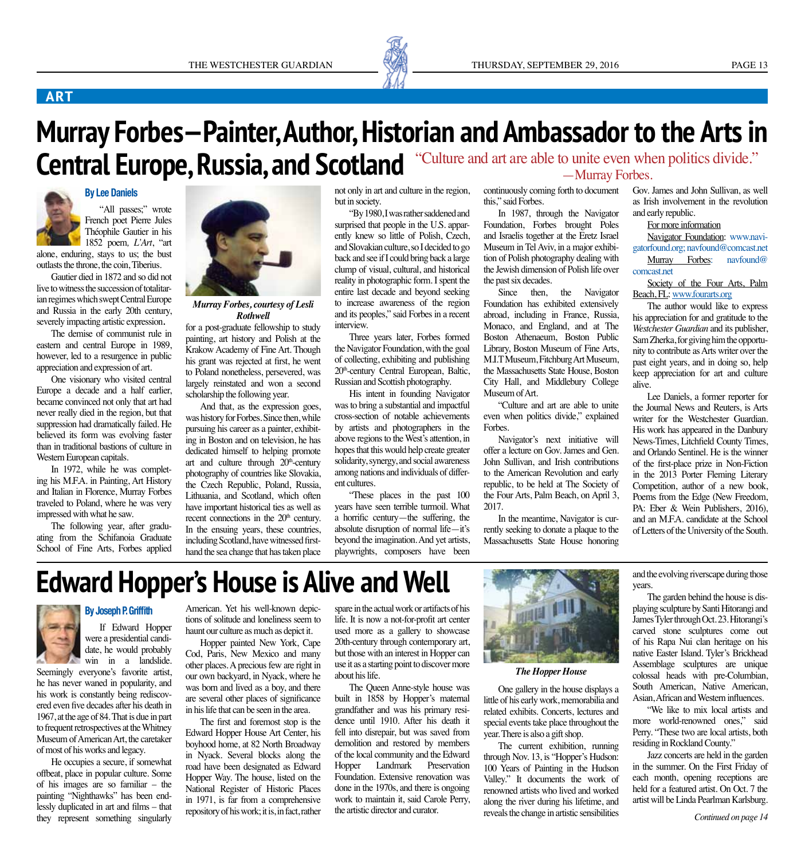

### **ART**

# **Murray Forbes—Painter, Author, Historian and Ambassador to the Arts in**  Central Europe, Russia, and Scotland "Culture and art are able to unite even when politics divide."



"All passes;" wrote French poet Pierre Jules Théophile Gautier in his 1852 poem*, L'Art*, "art

alone, enduring, stays to us; the bust outlasts the throne, the coin, Tiberius.

Gautier died in 1872 and so did not live to witness the succession of totalitarian regimes which swept Central Europe and Russia in the early 20th century, severely impacting artistic expression.

The demise of communist rule in eastern and central Europe in 1989, however, led to a resurgence in public appreciation and expression of art.

One visionary who visited central Europe a decade and a half earlier, became convinced not only that art had never really died in the region, but that suppression had dramatically failed. He believed its form was evolving faster than in traditional bastions of culture in Western European capitals.

In 1972, while he was completing his M.F.A. in Painting, Art History and Italian in Florence, Murray Forbes traveled to Poland, where he was very impressed with what he saw.

The following year, after graduating from the Schifanoia Graduate School of Fine Arts, Forbes applied



*Murray Forbes, courtesy of Lesli Rothwell*

for a post-graduate fellowship to study painting, art history and Polish at the Krakow Academy of Fine Art. Though his grant was rejected at first, he went to Poland nonetheless, persevered, was largely reinstated and won a second scholarship the following year.

And that, as the expression goes, was history for Forbes. Since then, while pursuing his career as a painter, exhibiting in Boston and on television, he has dedicated himself to helping promote art and culture through  $20<sup>th</sup>$ -century photography of countries like Slovakia, the Czech Republic, Poland, Russia, Lithuania, and Scotland, which often have important historical ties as well as recent connections in the 20<sup>th</sup> century. In the ensuing years, these countries, including Scotland, have witnessed firsthand the sea change that has taken place

not only in art and culture in the region, but in society.

"By 1980, I was rather saddened and surprised that people in the U.S. apparently knew so little of Polish, Czech, and Slovakian culture, so I decided to go back and see if I could bring back a large clump of visual, cultural, and historical reality in photographic form. I spent the entire last decade and beyond seeking to increase awareness of the region and its peoples," said Forbes in a recent interview.

Three years later, Forbes formed the Navigator Foundation, with the goal of collecting, exhibiting and publishing 20<sup>th</sup>-century Central European, Baltic, Russian and Scottish photography.

His intent in founding Navigator was to bring a substantial and impactful cross-section of notable achievements by artists and photographers in the above regions to the West's attention, in hopes that this would help create greater solidarity, synergy, and social awareness among nations and individuals of different cultures.

"These places in the past 100 years have seen terrible turmoil. What a horrific century—the suffering, the absolute disruption of normal life—it's beyond the imagination. And yet artists, playwrights, composers have been

—Murray Forbes.

continuously coming forth to document this," said Forbes.

In 1987, through the Navigator Foundation, Forbes brought Poles and Israelis together at the Eretz Israel Museum in Tel Aviv, in a major exhibition of Polish photography dealing with the Jewish dimension of Polish life over the past six decades.

Since then, the Navigator Foundation has exhibited extensively abroad, including in France, Russia, Monaco, and England, and at The Boston Athenaeum, Boston Public Library, Boston Museum of Fine Arts, M.I.T Museum, Fitchburg Art Museum, the Massachusetts State House, Boston City Hall, and Middlebury College Museum of Art.

"Culture and art are able to unite even when politics divide," explained Forbes.

Navigator's next initiative will offer a lecture on Gov. James and Gen. John Sullivan, and Irish contributions to the American Revolution and early republic, to be held at The Society of the Four Arts, Palm Beach, on April 3, 2017.

In the meantime, Navigator is currently seeking to donate a plaque to the Massachusetts State House honoring Gov. James and John Sullivan, as well as Irish involvement in the revolution and early republic.

For more information

Navigator Foundation: www.navigatorfound.org; navfound@comcast.net Murray Forbes: navfound@ comcast.net

Society of the Four Arts, Palm Beach, FL: www.fourarts.org

The author would like to express his appreciation for and gratitude to the *Westchester Guardian* and its publisher, Sam Zherka, for giving him the opportunity to contribute as Arts writer over the past eight years, and in doing so, help keep appreciation for art and culture alive.

Lee Daniels, a former reporter for the Journal News and Reuters, is Arts writer for the Westchester Guardian. His work has appeared in the Danbury News-Times, Litchfield County Times, and Orlando Sentinel. He is the winner of the first-place prize in Non-Fiction in the 2013 Porter Fleming Literary Competition, author of a new book, Poems from the Edge (New Freedom, PA: Eber & Wein Publishers, 2016), and an M.F.A. candidate at the School of Letters of the University of the South.

# **Edward Hopper's House is Alive and Well**



**By Joseph P. Griffith** If Edward Hopper were a presidential candidate, he would probably win in a landslide.

Seemingly everyone's favorite artist, he has never waned in popularity, and his work is constantly being rediscovered even five decades after his death in 1967, at the age of 84. That is due in part to frequent retrospectives at the Whitney Museum of American Art, the caretaker of most of his works and legacy.

He occupies a secure, if somewhat offbeat, place in popular culture. Some of his images are so familiar – the painting "Nighthawks" has been endlessly duplicated in art and films – that they represent something singularly American. Yet his well-known depictions of solitude and loneliness seem to haunt our culture as much as depict it.

Hopper painted New York, Cape Cod, Paris, New Mexico and many other places. A precious few are right in our own backyard, in Nyack, where he was born and lived as a boy, and there are several other places of significance in his life that can be seen in the area.

The first and foremost stop is the Edward Hopper House Art Center, his boyhood home, at 82 North Broadway in Nyack. Several blocks along the road have been designated as Edward Hopper Way. The house, listed on the National Register of Historic Places in 1971, is far from a comprehensive repository of his work; it is, in fact, rather

spare in the actual work or artifacts of his life. It is now a not-for-profit art center used more as a gallery to showcase 20th-century through contemporary art, but those with an interest in Hopper can use it as a starting point to discover more about his life.

The Queen Anne-style house was built in 1858 by Hopper's maternal grandfather and was his primary residence until 1910. After his death it fell into disrepair, but was saved from demolition and restored by members of the local community and the Edward Hopper Landmark Preservation Foundation. Extensive renovation was done in the 1970s, and there is ongoing work to maintain it, said Carole Perry, the artistic director and curator.



#### *The Hopper House*

One gallery in the house displays a little of his early work, memorabilia and related exhibits. Concerts, lectures and special events take place throughout the year. There is also a gift shop.

The current exhibition, running through Nov. 13, is "Hopper's Hudson: 100 Years of Painting in the Hudson Valley." It documents the work of renowned artists who lived and worked along the river during his lifetime, and reveals the change in artistic sensibilities

and the evolving riverscape during those years.

The garden behind the house is displaying sculpture by Santi Hitorangi and James Tyler through Oct. 23. Hitorangi's carved stone sculptures come out of his Rapa Nui clan heritage on his native Easter Island. Tyler's Brickhead Assemblage sculptures are unique colossal heads with pre-Columbian, South American, Native American, Asian, African and Western influences.

"We like to mix local artists and more world-renowned ones," said Perry. "These two are local artists, both residing in Rockland County."

Jazz concerts are held in the garden in the summer. On the First Friday of each month, opening receptions are held for a featured artist. On Oct. 7 the artist will be Linda Pearlman Karlsburg.